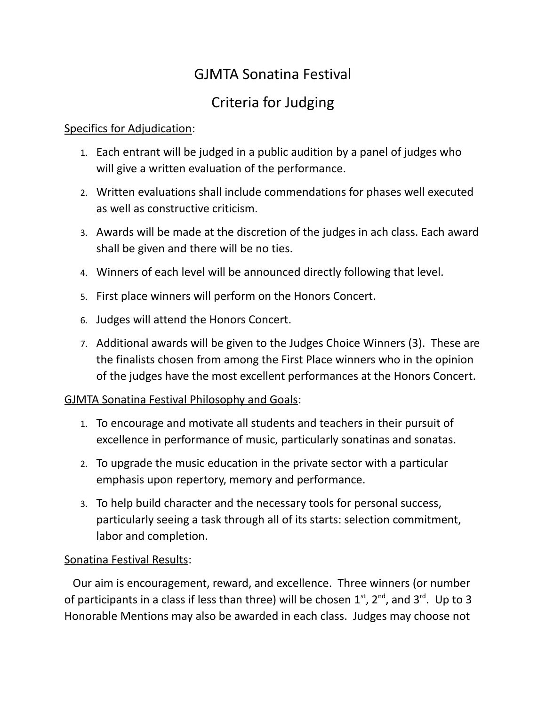# GJMTA Sonatina Festival

# Criteria for Judging

### Specifics for Adjudication:

- 1. Each entrant will be judged in a public audition by a panel of judges who will give a written evaluation of the performance.
- 2. Written evaluations shall include commendations for phases well executed as well as constructive criticism.
- 3. Awards will be made at the discretion of the judges in ach class. Each award shall be given and there will be no ties.
- 4. Winners of each level will be announced directly following that level.
- 5. First place winners will perform on the Honors Concert.
- 6. Judges will attend the Honors Concert.
- 7. Additional awards will be given to the Judges Choice Winners (3). These are the finalists chosen from among the First Place winners who in the opinion of the judges have the most excellent performances at the Honors Concert.

### GJMTA Sonatina Festival Philosophy and Goals:

- 1. To encourage and motivate all students and teachers in their pursuit of excellence in performance of music, particularly sonatinas and sonatas.
- 2. To upgrade the music education in the private sector with a particular emphasis upon repertory, memory and performance.
- 3. To help build character and the necessary tools for personal success, particularly seeing a task through all of its starts: selection commitment, labor and completion.

### Sonatina Festival Results:

 Our aim is encouragement, reward, and excellence. Three winners (or number of participants in a class if less than three) will be chosen  $1<sup>st</sup>$ ,  $2<sup>nd</sup>$ , and  $3<sup>rd</sup>$ . Up to 3 Honorable Mentions may also be awarded in each class. Judges may choose not